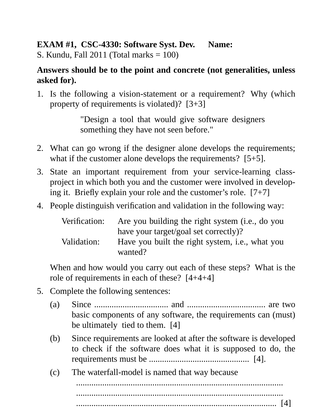## **EXAM #1, CSC-4330: Software Syst. Dev. Name:**

S. Kundu, Fall 2011 (Total marks = 100)

## **Answers should be to the point and concrete (not generalities, unless asked for).**

1. Is the following a vision-statement or a requirement? Why (which property of requirements is violated)? [3+3]

> "Design a tool that would give software designers something they have not seen before."

- 2. What can go wrong if the designer alone develops the requirements; what if the customer alone develops the requirements? [5+5].
- 3. State an important requirement from your service-learning classproject in which both you and the customer were involved in developing it. Briefly explain your role and the customer's role. [7+7]
- 4. People distinguish verification and validation in the following way:

| Verification: | Are you building the right system (i.e., do you |
|---------------|-------------------------------------------------|
|               | have your target/goal set correctly)?           |
| Validation:   | Have you built the right system, i.e., what you |
|               | wanted?                                         |

When and how would you carry out each of these steps? What is the role of requirements in each of these? [4+4+4]

- 5. Complete the following sentences:
	- (a) Since  $\ldots$   $\ldots$   $\ldots$   $\ldots$   $\ldots$   $\ldots$   $\ldots$  and  $\ldots$   $\ldots$   $\ldots$   $\ldots$   $\ldots$   $\ldots$  are two basic components of any software, the requirements can (must) be ultimately tied to them. [4]
	- (b) Since requirements are looked at after the software is developed to check if the software does what it is supposed to do, the requirements must be .............................................. [4].
	- (c) The waterfall-model is named that way because

............................................................................................... ...............................................................................................

............................................................................................ [4]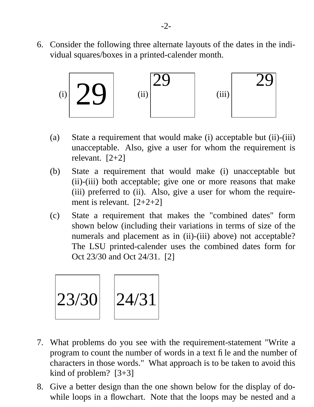6. Consider the following three alternate layouts of the dates in the individual squares/boxes in a printed-calender month.



- (a) State a requirement that would make (i) acceptable but (ii)-(iii) unacceptable. Also, give a user for whom the requirement is relevant. [2+2]
- (b) State a requirement that would make (i) unacceptable but (ii)-(iii) both acceptable; give one or more reasons that make (iii) preferred to (ii). Also, give a user for whom the requirement is relevant.  $[2+2+2]$
- (c) State a requirement that makes the "combined dates" form shown below (including their variations in terms of size of the numerals and placement as in (ii)-(iii) above) not acceptable? The LSU printed-calender uses the combined dates form for Oct 23/30 and Oct 24/31. [2]



- 7. What problems do you see with the requirement-statement "Write a program to count the number of words in a text file and the number of characters in those words." What approach is to be taken to avoid this kind of problem? [3+3]
- 8. Give a better design than the one shown below for the display of dowhile loops in a flowchart. Note that the loops may be nested and a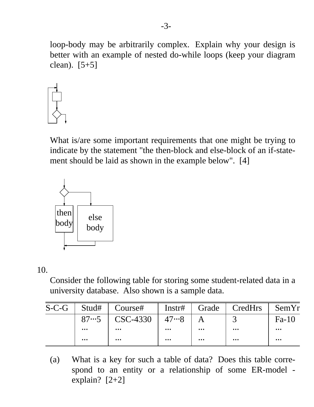loop-body may be arbitrarily complex. Explain why your design is better with an example of nested do-while loops (keep your diagram clean). [5+5]



What is/are some important requirements that one might be trying to indicate by the statement "the then-block and else-block of an if-statement should be laid as shown in the example below". [4]



10.

Consider the following table for storing some student-related data in a university database. Also shown is a sample data.

| $S-C-G$ |          | $\parallel$ Stud# $\parallel$ Course#  |          |              | Instr#   Grade   CredHrs   SemYr |           |
|---------|----------|----------------------------------------|----------|--------------|----------------------------------|-----------|
|         |          | $87 \cdot 5$   CSC-4330   47 $\cdot 8$ |          | $\mathsf{A}$ | $\mathcal{R}$                    | $Fa-10$   |
|         | $\cdots$ | $\cdots$                               | $\cdots$ | $\cdots$     | $\bullet\bullet\bullet$          | $\ddotsc$ |
|         | $\cdots$ | $\cdots$                               | $\cdots$ | $\cdots$     | $\bullet\bullet\bullet$          | $\cdots$  |

(a) What is a key for such a table of data? Does this table correspond to an entity or a relationship of some ER-model explain? [2+2]